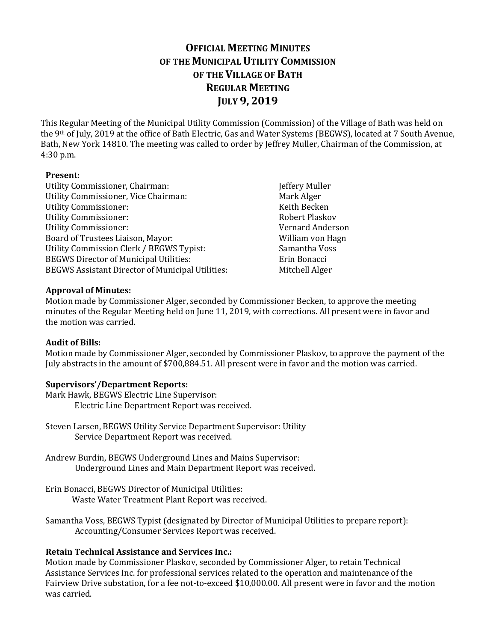# **OFFICIAL MEETING MINUTES OF THE MUNICIPAL UTILITY COMMISSION OF THE VILLAGE OF BATH REGULAR MEETING JULY 9, 2019**

This Regular Meeting of the Municipal Utility Commission (Commission) of the Village of Bath was held on the 9th of July, 2019 at the office of Bath Electric, Gas and Water Systems (BEGWS), located at 7 South Avenue, Bath, New York 14810. The meeting was called to order by Jeffrey Muller, Chairman of the Commission, at 4:30 p.m.

### **Present:**

- Utility Commissioner, Chairman: Jeffery Muller<br>Utility Commissioner, Vice Chairman: Mark Alger Utility Commissioner, Vice Chairman: Mark Alger<br>
Utility Commissioner: Mark Alger<br>
Keith Becken Utility Commissioner: The Commissioner of the Commissioner of the Commissioner of the Commissioner of the Comm<br>Robert Plaskov Utility Commissioner: Robert Plaskov Utility Commissioner: Vernard Anderson<br>Board of Trustees Liaison, Mayor: Vernard Anderson<br>William von Hagn Board of Trustees Liaison, Mayor: Villiam von Hagnesia and Sanantha Voss<br>Utility Commission Clerk / BEGWS Typist: Samantha Voss Utility Commission Clerk / BEGWS Typist: Samantha Vo<br>BEGWS Director of Municipal Utilities: Frin Bonacci BEGWS Director of Municipal Utilities: Erin Bonacci<br>BEGWS Assistant Director of Municipal Utilities: Mitchell Alger BEGWS Assistant Director of Municipal Utilities:
	-

## **Approval of Minutes:**

Motion made by Commissioner Alger, seconded by Commissioner Becken, to approve the meeting minutes of the Regular Meeting held on June 11, 2019, with corrections. All present were in favor and the motion was carried.

## **Audit of Bills:**

Motion made by Commissioner Alger, seconded by Commissioner Plaskov, to approve the payment of the July abstracts in the amount of \$700,884.51. All present were in favor and the motion was carried.

## **Supervisors'/Department Reports:**

- Mark Hawk, BEGWS Electric Line Supervisor: Electric Line Department Report was received.
- Steven Larsen, BEGWS Utility Service Department Supervisor: Utility Service Department Report was received.
- Andrew Burdin, BEGWS Underground Lines and Mains Supervisor: Underground Lines and Main Department Report was received.
- Erin Bonacci, BEGWS Director of Municipal Utilities: Waste Water Treatment Plant Report was received.
- Samantha Voss, BEGWS Typist (designated by Director of Municipal Utilities to prepare report): Accounting/Consumer Services Report was received.

## **Retain Technical Assistance and Services Inc.:**

Motion made by Commissioner Plaskov, seconded by Commissioner Alger, to retain Technical Assistance Services Inc. for professional services related to the operation and maintenance of the Fairview Drive substation, for a fee not-to-exceed \$10,000.00. All present were in favor and the motion was carried.